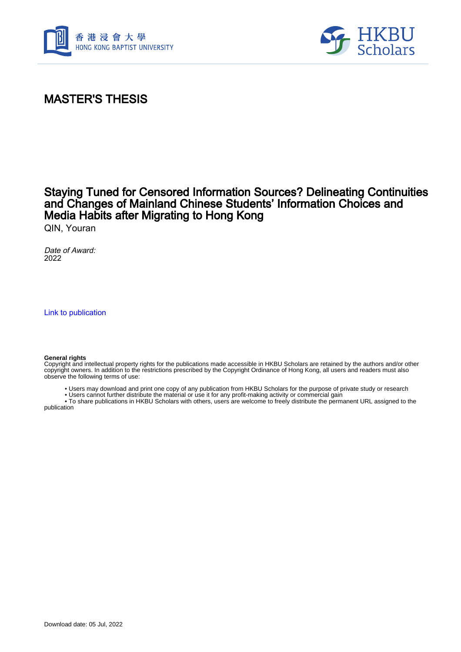



## MASTER'S THESIS

## Staying Tuned for Censored Information Sources? Delineating Continuities and Changes of Mainland Chinese Students' Information Choices and Media Habits after Migrating to Hong Kong

QIN, Youran

Date of Award: 2022

[Link to publication](https://scholars.hkbu.edu.hk/en/studentTheses/2904b62b-456c-4792-a4db-0b8dc5d8c91c)

## **General rights**

Copyright and intellectual property rights for the publications made accessible in HKBU Scholars are retained by the authors and/or other copyright owners. In addition to the restrictions prescribed by the Copyright Ordinance of Hong Kong, all users and readers must also observe the following terms of use:

• Users may download and print one copy of any publication from HKBU Scholars for the purpose of private study or research

• Users cannot further distribute the material or use it for any profit-making activity or commercial gain

 • To share publications in HKBU Scholars with others, users are welcome to freely distribute the permanent URL assigned to the publication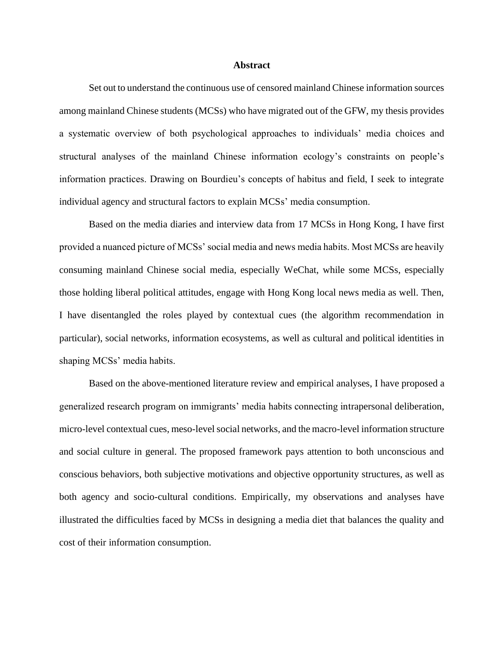## **Abstract**

Set out to understand the continuous use of censored mainland Chinese information sources among mainland Chinese students (MCSs) who have migrated out of the GFW, my thesis provides a systematic overview of both psychological approaches to individuals' media choices and structural analyses of the mainland Chinese information ecology's constraints on people's information practices. Drawing on Bourdieu's concepts of habitus and field, I seek to integrate individual agency and structural factors to explain MCSs' media consumption.

Based on the media diaries and interview data from 17 MCSs in Hong Kong, I have first provided a nuanced picture of MCSs' social media and news media habits. Most MCSs are heavily consuming mainland Chinese social media, especially WeChat, while some MCSs, especially those holding liberal political attitudes, engage with Hong Kong local news media as well. Then, I have disentangled the roles played by contextual cues (the algorithm recommendation in particular), social networks, information ecosystems, as well as cultural and political identities in shaping MCSs' media habits.

Based on the above-mentioned literature review and empirical analyses, I have proposed a generalized research program on immigrants' media habits connecting intrapersonal deliberation, micro-level contextual cues, meso-level social networks, and the macro-level information structure and social culture in general. The proposed framework pays attention to both unconscious and conscious behaviors, both subjective motivations and objective opportunity structures, as well as both agency and socio-cultural conditions. Empirically, my observations and analyses have illustrated the difficulties faced by MCSs in designing a media diet that balances the quality and cost of their information consumption.